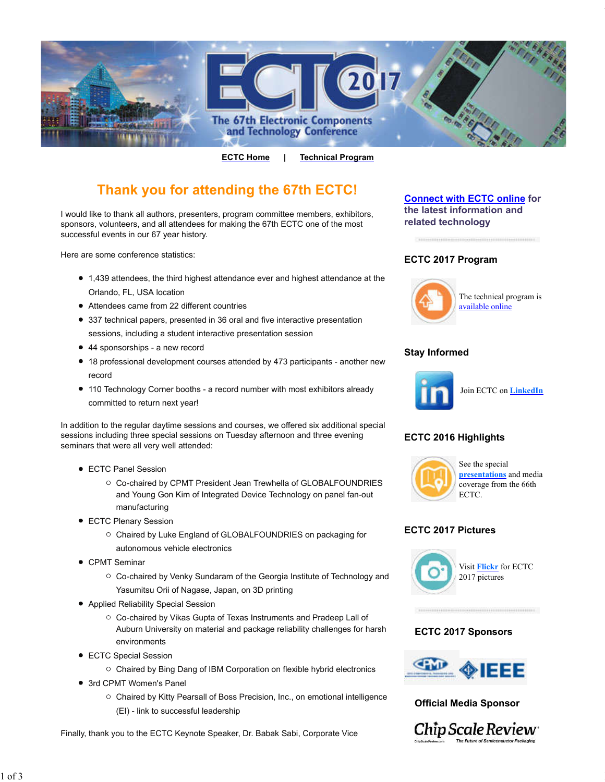

**ECTC Home | Technical Program**

# **Thank you for attending the 67th ECTC!**

I would like to thank all authors, presenters, program committee members, exhibitors, sponsors, volunteers, and all attendees for making the 67th ECTC one of the most successful events in our 67 year history.

Here are some conference statistics:

- 1,439 attendees, the third highest attendance ever and highest attendance at the Orlando, FL, USA location
- Attendees came from 22 different countries
- 337 technical papers, presented in 36 oral and five interactive presentation sessions, including a student interactive presentation session
- 44 sponsorships a new record
- 18 professional development courses attended by 473 participants another new record
- 110 Technology Corner booths a record number with most exhibitors already committed to return next year!

In addition to the regular daytime sessions and courses, we offered six additional special sessions including three special sessions on Tuesday afternoon and three evening seminars that were all very well attended:

- ECTC Panel Session
	- Co-chaired by CPMT President Jean Trewhella of GLOBALFOUNDRIES and Young Gon Kim of Integrated Device Technology on panel fan-out manufacturing
- ECTC Plenary Session
	- Chaired by Luke England of GLOBALFOUNDRIES on packaging for autonomous vehicle electronics
- CPMT Seminar
	- Co-chaired by Venky Sundaram of the Georgia Institute of Technology and Yasumitsu Orii of Nagase, Japan, on 3D printing
- Applied Reliability Special Session
	- Co-chaired by Vikas Gupta of Texas Instruments and Pradeep Lall of Auburn University on material and package reliability challenges for harsh environments
- ECTC Special Session
	- $\circ$  Chaired by Bing Dang of IBM Corporation on flexible hybrid electronics
- 3rd CPMT Women's Panel
	- Chaired by Kitty Pearsall of Boss Precision, Inc., on emotional intelligence (EI) - link to successful leadership

Finally, thank you to the ECTC Keynote Speaker, Dr. Babak Sabi, Corporate Vice

# **Connect with ECTC online for the latest information and related technology**

### **ECTC 2017 Program**



The technical program is available online

# **Stay Informed**



Join ECTC on **LinkedIn**

### **ECTC 2016 Highlights**



See the special **presentations** and media coverage from the 66th ECTC.

#### **ECTC 2017 Pictures**



### **ECTC 2017 Sponsors**



### **Official Media Sponsor**

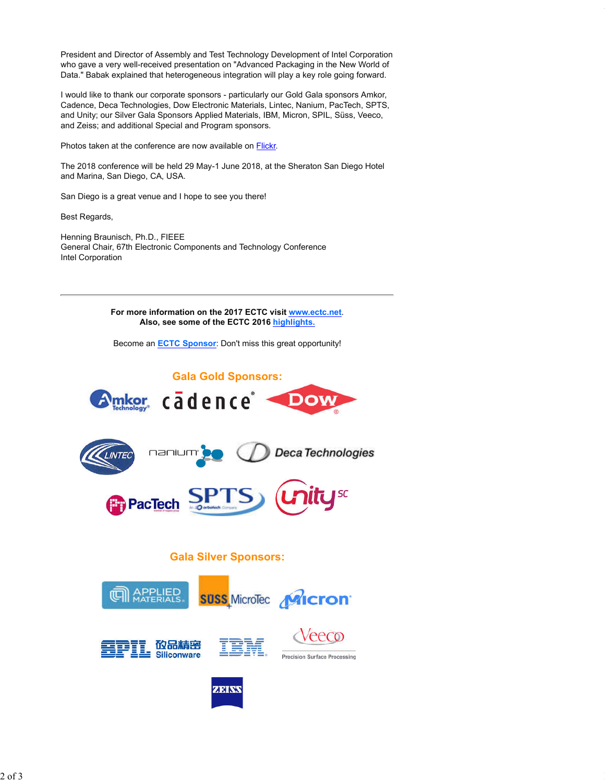President and Director of Assembly and Test Technology Development of Intel Corporation who gave a very well-received presentation on "Advanced Packaging in the New World of Data." Babak explained that heterogeneous integration will play a key role going forward.

file:///C:/Users/hbraunis/Desktop/Thank you for Attending ECTC 2017.htm

I would like to thank our corporate sponsors - particularly our Gold Gala sponsors Amkor, Cadence, Deca Technologies, Dow Electronic Materials, Lintec, Nanium, PacTech, SPTS, and Unity; our Silver Gala Sponsors Applied Materials, IBM, Micron, SPIL, Süss, Veeco, and Zeiss; and additional Special and Program sponsors.

Photos taken at the conference are now available on **Flickr**.

The 2018 conference will be held 29 May-1 June 2018, at the Sheraton San Diego Hotel and Marina, San Diego, CA, USA.

San Diego is a great venue and I hope to see you there!

Best Regards,

Henning Braunisch, Ph.D., FIEEE General Chair, 67th Electronic Components and Technology Conference Intel Corporation

> **For more information on the 2017 ECTC visit www.ectc.net**. **Also, see some of the ECTC 2016 highlights.**

Become an **ECTC Sponsor**: Don't miss this great opportunity!